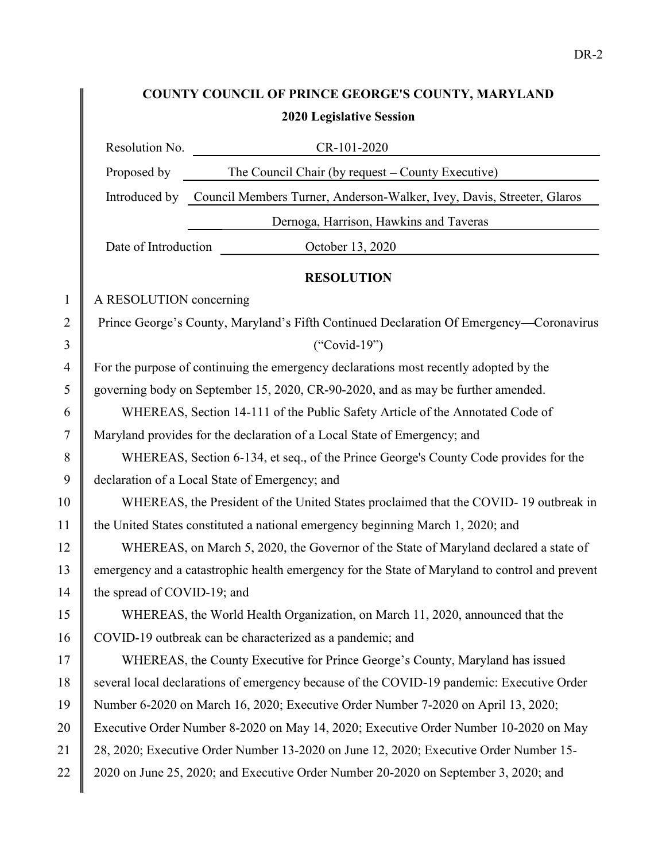## COUNTY COUNCIL OF PRINCE GEORGE'S COUNTY, MARYLAND 2020 Legislative Session

|                |                                                                                       | Resolution No.<br>CR-101-2020                                                                  |  |
|----------------|---------------------------------------------------------------------------------------|------------------------------------------------------------------------------------------------|--|
|                | Proposed by                                                                           | The Council Chair (by request – County Executive)                                              |  |
|                |                                                                                       | Introduced by Council Members Turner, Anderson-Walker, Ivey, Davis, Streeter, Glaros           |  |
|                |                                                                                       | Dernoga, Harrison, Hawkins and Taveras                                                         |  |
|                | Date of Introduction                                                                  | October 13, 2020                                                                               |  |
|                |                                                                                       | <b>RESOLUTION</b>                                                                              |  |
| $\mathbf{1}$   | A RESOLUTION concerning                                                               |                                                                                                |  |
| $\overline{2}$ |                                                                                       | Prince George's County, Maryland's Fifth Continued Declaration Of Emergency-Coronavirus        |  |
| 3              |                                                                                       | $("Covid-19")$                                                                                 |  |
| 4              | For the purpose of continuing the emergency declarations most recently adopted by the |                                                                                                |  |
| 5              | governing body on September 15, 2020, CR-90-2020, and as may be further amended.      |                                                                                                |  |
| 6              | WHEREAS, Section 14-111 of the Public Safety Article of the Annotated Code of         |                                                                                                |  |
| 7              | Maryland provides for the declaration of a Local State of Emergency; and              |                                                                                                |  |
| 8              | WHEREAS, Section 6-134, et seq., of the Prince George's County Code provides for the  |                                                                                                |  |
| 9              |                                                                                       | declaration of a Local State of Emergency; and                                                 |  |
| 10             |                                                                                       | WHEREAS, the President of the United States proclaimed that the COVID-19 outbreak in           |  |
| 11             | the United States constituted a national emergency beginning March 1, 2020; and       |                                                                                                |  |
| 12             |                                                                                       | WHEREAS, on March 5, 2020, the Governor of the State of Maryland declared a state of           |  |
| 13             |                                                                                       | emergency and a catastrophic health emergency for the State of Maryland to control and prevent |  |
| 14             | the spread of COVID-19; and                                                           |                                                                                                |  |
| 15             |                                                                                       | WHEREAS, the World Health Organization, on March 11, 2020, announced that the                  |  |
| 16             |                                                                                       | COVID-19 outbreak can be characterized as a pandemic; and                                      |  |
| 17             |                                                                                       | WHEREAS, the County Executive for Prince George's County, Maryland has issued                  |  |
| 18             |                                                                                       | several local declarations of emergency because of the COVID-19 pandemic: Executive Order      |  |
| 19             |                                                                                       | Number 6-2020 on March 16, 2020; Executive Order Number 7-2020 on April 13, 2020;              |  |
| 20             |                                                                                       | Executive Order Number 8-2020 on May 14, 2020; Executive Order Number 10-2020 on May           |  |
| 21             |                                                                                       | 28, 2020; Executive Order Number 13-2020 on June 12, 2020; Executive Order Number 15-          |  |
| 22             |                                                                                       | 2020 on June 25, 2020; and Executive Order Number 20-2020 on September 3, 2020; and            |  |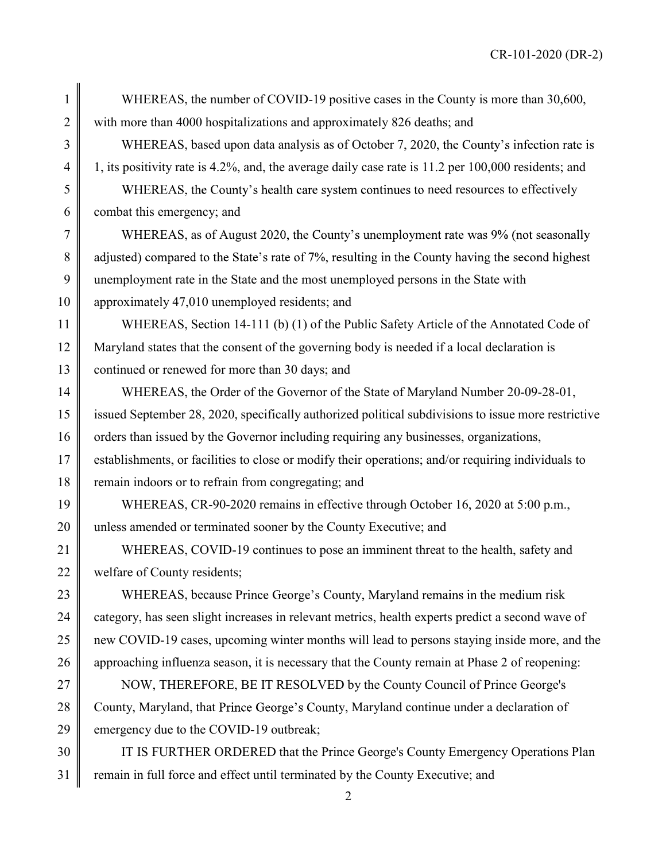CR-101-2020 (DR-2)

1 WHEREAS, the number of COVID-19 positive cases in the County is more than 30,600, 2 with more than 4000 hospitalizations and approximately 826 deaths; and

 $3 \parallel$  WHEREAS, based upon data analysis as of October 7, 2020, the County's infection rate is 4  $\parallel$  1, its positivity rate is 4.2%, and, the average daily case rate is 11.2 per 100,000 residents; and

 $\frac{1}{5}$  WHEREAS, the County's health care system continues to need resources to effectively  $6 \parallel$  combat this emergency; and

 $7 \parallel$  WHEREAS, as of August 2020, the County's unemployment rate was 9% (not seasonally 8 || adjusted) compared to the State's rate of 7%, resulting in the County having the second highest 9 unemployment rate in the State and the most unemployed persons in the State with 10 | approximately 47,010 unemployed residents; and

11 WHEREAS, Section 14-111 (b) (1) of the Public Safety Article of the Annotated Code of 12 Maryland states that the consent of the governing body is needed if a local declaration is 13 continued or renewed for more than 30 days; and

14 WHEREAS, the Order of the Governor of the State of Maryland Number 20-09-28-01, 15 issued September 28, 2020, specifically authorized political subdivisions to issue more restrictive 16 orders than issued by the Governor including requiring any businesses, organizations, 17 establishments, or facilities to close or modify their operations; and/or requiring individuals to 18 remain indoors or to refrain from congregating; and

19 WHEREAS, CR-90-2020 remains in effective through October 16, 2020 at 5:00 p.m., 20 unless amended or terminated sooner by the County Executive; and

21 WHEREAS, COVID-19 continues to pose an imminent threat to the health, safety and 22 welfare of County residents;

23 WHEREAS, because Prince George's County, Maryland remains in the medium risk 24 category, has seen slight increases in relevant metrics, health experts predict a second wave of 25 new COVID-19 cases, upcoming winter months will lead to persons staying inside more, and the 26 approaching influenza season, it is necessary that the County remain at Phase 2 of reopening:

27 NOW, THEREFORE, BE IT RESOLVED by the County Council of Prince George's  $28 \parallel$  County, Maryland, that Prince George's County, Maryland continue under a declaration of 29 emergency due to the COVID-19 outbreak;

30 THE IS FURTHER ORDERED that the Prince George's County Emergency Operations Plan 31 | remain in full force and effect until terminated by the County Executive; and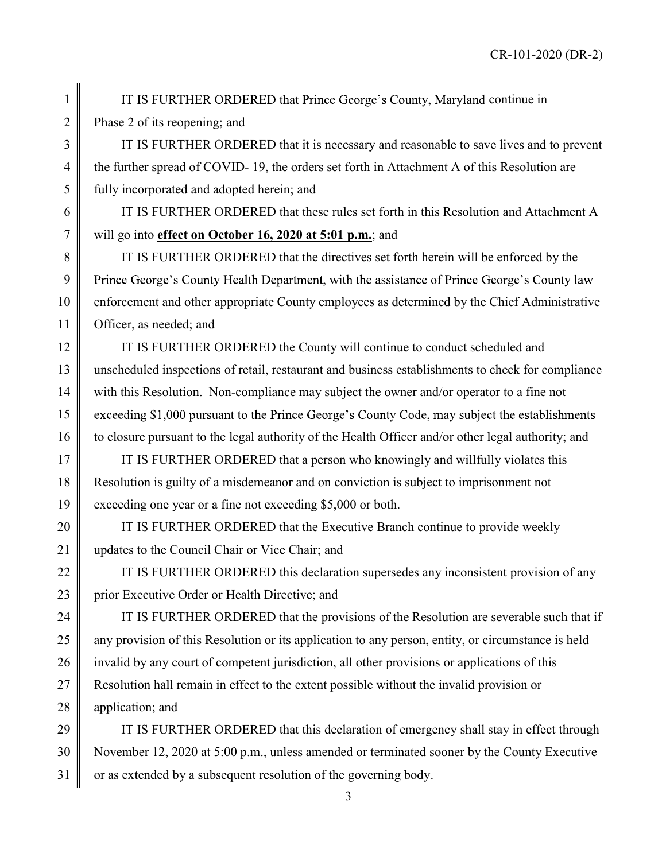1 **I** IT IS FURTHER ORDERED that Prince George's County, Maryland continue in 2 Phase 2 of its reopening; and

3 THE 3 IT IS FURTHER ORDERED that it is necessary and reasonable to save lives and to prevent 4 the further spread of COVID- 19, the orders set forth in Attachment A of this Resolution are 5 fully incorporated and adopted herein; and

6 IT IS FURTHER ORDERED that these rules set forth in this Resolution and Attachment A 7 will go into effect on October 16, 2020 at 5:01 p.m.; and

8 I IT IS FURTHER ORDERED that the directives set forth herein will be enforced by the 9 | Prince George's County Health Department, with the assistance of Prince George's County law 10 enforcement and other appropriate County employees as determined by the Chief Administrative 11 | Officer, as needed; and

12 **IT IS FURTHER ORDERED** the County will continue to conduct scheduled and 13 unscheduled inspections of retail, restaurant and business establishments to check for compliance 14 with this Resolution. Non-compliance may subject the owner and/or operator to a fine not 15 cxceeding \$1,000 pursuant to the Prince George's County Code, may subject the establishments 16 to closure pursuant to the legal authority of the Health Officer and/or other legal authority; and

17 **I** IT IS FURTHER ORDERED that a person who knowingly and willfully violates this 18 Resolution is guilty of a misdemeanor and on conviction is subject to imprisonment not 19 exceeding one year or a fine not exceeding \$5,000 or both.

20 **I** IT IS FURTHER ORDERED that the Executive Branch continue to provide weekly 21 Updates to the Council Chair or Vice Chair; and

22 | IT IS FURTHER ORDERED this declaration supersedes any inconsistent provision of any 23 prior Executive Order or Health Directive; and

24  $\parallel$  IT IS FURTHER ORDERED that the provisions of the Resolution are severable such that if  $25$  any provision of this Resolution or its application to any person, entity, or circumstance is held 26 invalid by any court of competent jurisdiction, all other provisions or applications of this 27 Resolution hall remain in effect to the extent possible without the invalid provision or 28 || application; and

29  $\parallel$  IT IS FURTHER ORDERED that this declaration of emergency shall stay in effect through 30 November 12, 2020 at 5:00 p.m., unless amended or terminated sooner by the County Executive  $31 \parallel \text{or}$  as extended by a subsequent resolution of the governing body.